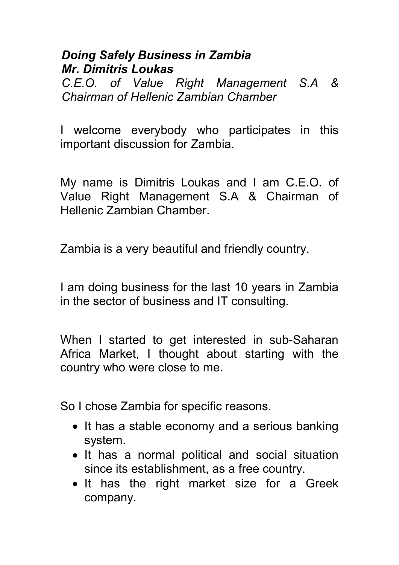## Doing Safely Business in Zambia Mr. Dimitris Loukas

C.E.O. of Value Right Management S.A & Chairman of Hellenic Zambian Chamber

I welcome everybody who participates in this important discussion for Zambia.

My name is Dimitris Loukas and I am C.E.O. of Value Right Management S.A & Chairman of Hellenic Zambian Chamber.

Zambia is a very beautiful and friendly country.

I am doing business for the last 10 years in Zambia in the sector of business and IT consulting.

When I started to get interested in sub-Saharan Africa Market, I thought about starting with the country who were close to me.

So I chose Zambia for specific reasons.

- It has a stable economy and a serious banking system.
- It has a normal political and social situation since its establishment, as a free country.
- It has the right market size for a Greek company.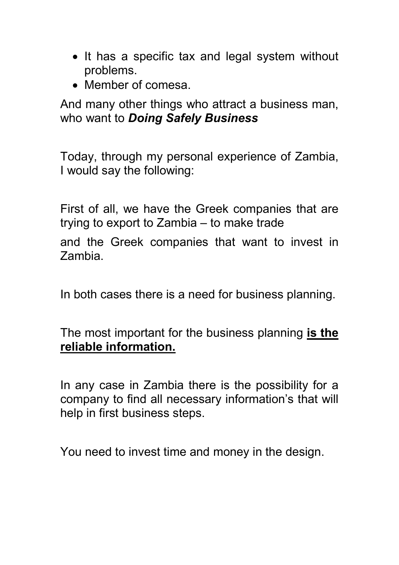- It has a specific tax and legal system without problems.
- Member of comesa.

And many other things who attract a business man, who want to **Doing Safely Business** 

Today, through my personal experience of Zambia, I would say the following:

First of all, we have the Greek companies that are trying to export to Zambia – to make trade

and the Greek companies that want to invest in Zambia.

In both cases there is a need for business planning.

The most important for the business planning is the reliable information.

In any case in Zambia there is the possibility for a company to find all necessary information's that will help in first business steps.

You need to invest time and money in the design.